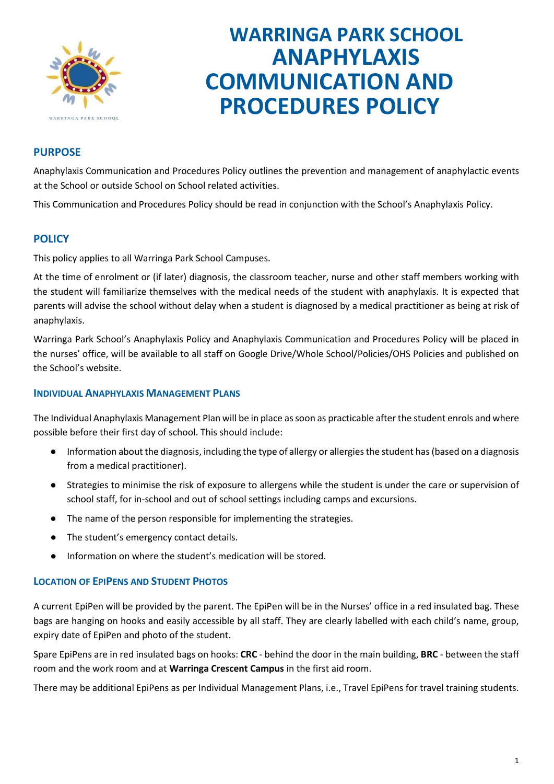

# **WARRINGA PARK SCHOOL ANAPHYLAXIS COMMUNICATION AND PROCEDURES POLICY**

# **PURPOSE**

Anaphylaxis Communication and Procedures Policy outlines the prevention and management of anaphylactic events at the School or outside School on School related activities.

This Communication and Procedures Policy should be read in conjunction with the School's Anaphylaxis Policy.

## **POLICY**

This policy applies to all Warringa Park School Campuses.

At the time of enrolment or (if later) diagnosis, the classroom teacher, nurse and other staff members working with the student will familiarize themselves with the medical needs of the student with anaphylaxis. It is expected that parents will advise the school without delay when a student is diagnosed by a medical practitioner as being at risk of anaphylaxis.

Warringa Park School's Anaphylaxis Policy and Anaphylaxis Communication and Procedures Policy will be placed in the nurses' office, will be available to all staff on Google Drive/Whole School/Policies/OHS Policies and published on the School's website.

## **INDIVIDUAL ANAPHYLAXIS MANAGEMENT PLANS**

The Individual Anaphylaxis Management Plan will be in place as soon as practicable after the student enrols and where possible before their first day of school. This should include:

- Information about the diagnosis, including the type of allergy or allergies the student has (based on a diagnosis from a medical practitioner).
- Strategies to minimise the risk of exposure to allergens while the student is under the care or supervision of school staff, for in-school and out of school settings including camps and excursions.
- The name of the person responsible for implementing the strategies.
- The student's emergency contact details.
- Information on where the student's medication will be stored.

## **LOCATION OF EPIPENS AND STUDENT PHOTOS**

A current EpiPen will be provided by the parent. The EpiPen will be in the Nurses' office in a red insulated bag. These bags are hanging on hooks and easily accessible by all staff. They are clearly labelled with each child's name, group, expiry date of EpiPen and photo of the student.

Spare EpiPens are in red insulated bags on hooks: **CRC** - behind the door in the main building, **BRC** - between the staff room and the work room and at **Warringa Crescent Campus** in the first aid room.

There may be additional EpiPens as per Individual Management Plans, i.e., Travel EpiPens for travel training students.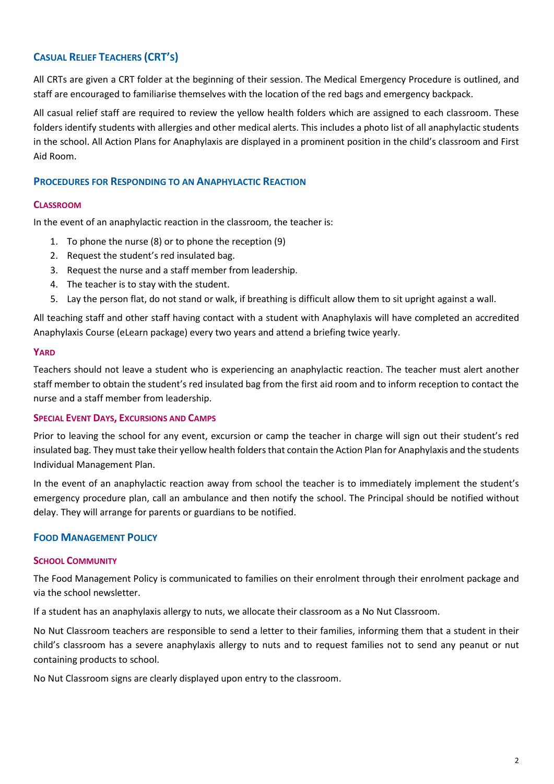# **CASUAL RELIEF TEACHERS (CRT'S)**

All CRTs are given a CRT folder at the beginning of their session. The Medical Emergency Procedure is outlined, and staff are encouraged to familiarise themselves with the location of the red bags and emergency backpack.

All casual relief staff are required to review the yellow health folders which are assigned to each classroom. These folders identify students with allergies and other medical alerts. This includes a photo list of all anaphylactic students in the school. All Action Plans for Anaphylaxis are displayed in a prominent position in the child's classroom and First Aid Room.

## **PROCEDURES FOR RESPONDING TO AN ANAPHYLACTIC REACTION**

## **CLASSROOM**

In the event of an anaphylactic reaction in the classroom, the teacher is:

- 1. To phone the nurse (8) or to phone the reception (9)
- 2. Request the student's red insulated bag.
- 3. Request the nurse and a staff member from leadership.
- 4. The teacher is to stay with the student.
- 5. Lay the person flat, do not stand or walk, if breathing is difficult allow them to sit upright against a wall.

All teaching staff and other staff having contact with a student with Anaphylaxis will have completed an accredited Anaphylaxis Course (eLearn package) every two years and attend a briefing twice yearly.

#### **YARD**

Teachers should not leave a student who is experiencing an anaphylactic reaction. The teacher must alert another staff member to obtain the student's red insulated bag from the first aid room and to inform reception to contact the nurse and a staff member from leadership.

## **SPECIAL EVENT DAYS, EXCURSIONS AND CAMPS**

Prior to leaving the school for any event, excursion or camp the teacher in charge will sign out their student's red insulated bag. They must take their yellow health folders that contain the Action Plan for Anaphylaxis and the students Individual Management Plan.

In the event of an anaphylactic reaction away from school the teacher is to immediately implement the student's emergency procedure plan, call an ambulance and then notify the school. The Principal should be notified without delay. They will arrange for parents or guardians to be notified.

## **FOOD MANAGEMENT POLICY**

#### **SCHOOL COMMUNITY**

The Food Management Policy is communicated to families on their enrolment through their enrolment package and via the school newsletter.

If a student has an anaphylaxis allergy to nuts, we allocate their classroom as a No Nut Classroom.

No Nut Classroom teachers are responsible to send a letter to their families, informing them that a student in their child's classroom has a severe anaphylaxis allergy to nuts and to request families not to send any peanut or nut containing products to school.

No Nut Classroom signs are clearly displayed upon entry to the classroom.